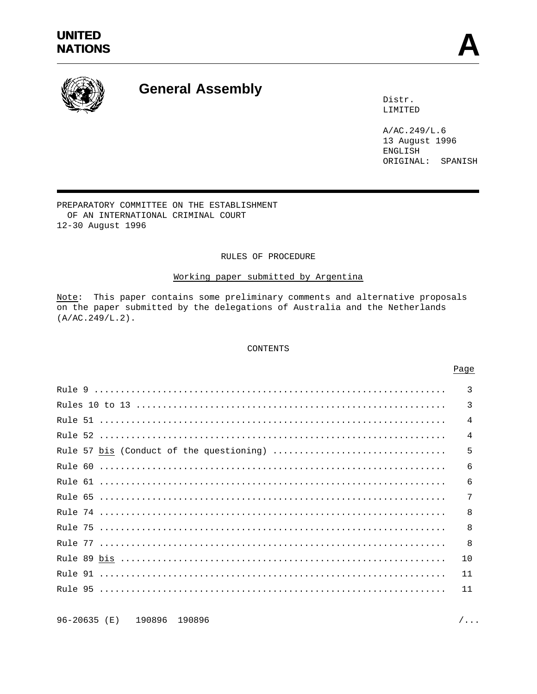# **UNITED** UNITED<br>NATIONS



# **General Assembly**

Distr. LIMITED

A/AC.249/L.6 13 August 1996 ENGLISH ORIGINAL: SPANISH

PREPARATORY COMMITTEE ON THE ESTABLISHMENT OF AN INTERNATIONAL CRIMINAL COURT 12-30 August 1996

# RULES OF PROCEDURE

# Working paper submitted by Argentina

Note: This paper contains some preliminary comments and alternative proposals on the paper submitted by the delegations of Australia and the Netherlands (A/AC.249/L.2).

## CONTENTS

|                                          | $\mathcal{E}$  |
|------------------------------------------|----------------|
|                                          | $\overline{3}$ |
|                                          | $\overline{4}$ |
|                                          | $\overline{4}$ |
| Rule 57 bis (Conduct of the questioning) | 5              |
|                                          | 6              |
|                                          | 6              |
|                                          | 7              |
|                                          | 8              |
|                                          | $\mathsf{R}$   |
|                                          | -8             |
|                                          | 10             |
|                                          | 11             |
|                                          | 11             |
|                                          |                |

96-20635 (E) 190896 190896 /...

#### Page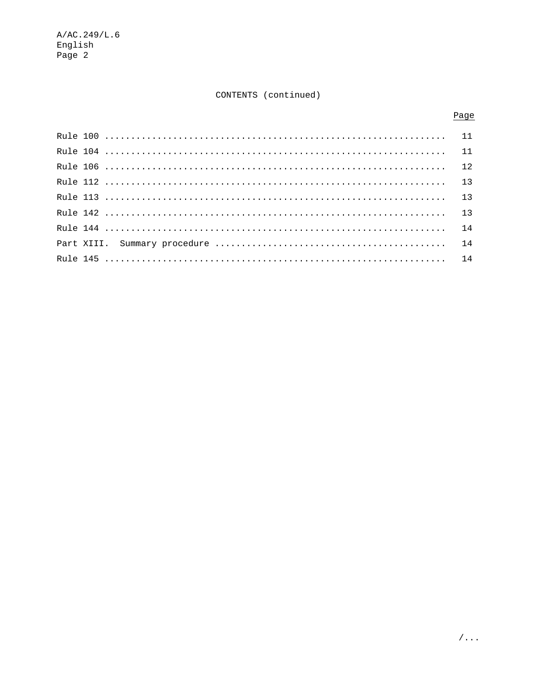# CONTENTS (continued)

# Page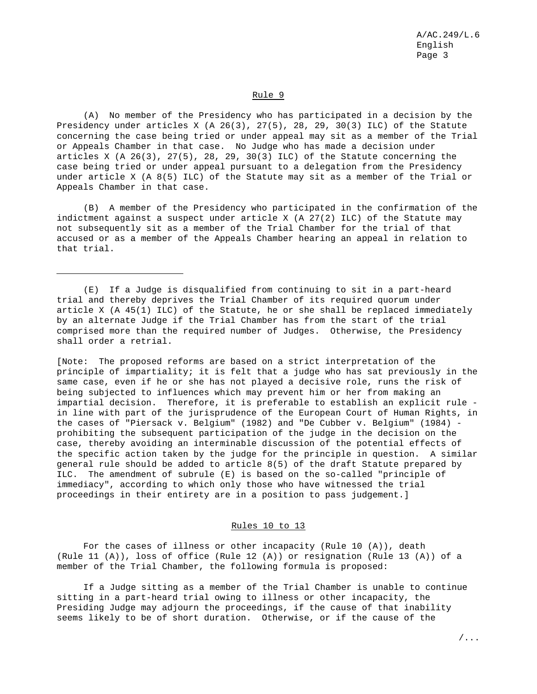# Rule 9

(A) No member of the Presidency who has participated in a decision by the Presidency under articles X (A 26(3), 27(5), 28, 29, 30(3) ILC) of the Statute concerning the case being tried or under appeal may sit as a member of the Trial or Appeals Chamber in that case. No Judge who has made a decision under articles X  $(A \ 26(3), \ 27(5), \ 28, \ 29, \ 30(3)$  ILC) of the Statute concerning the case being tried or under appeal pursuant to a delegation from the Presidency under article X (A 8(5) ILC) of the Statute may sit as a member of the Trial or Appeals Chamber in that case.

(B) A member of the Presidency who participated in the confirmation of the indictment against a suspect under article X (A 27(2) ILC) of the Statute may not subsequently sit as a member of the Trial Chamber for the trial of that accused or as a member of the Appeals Chamber hearing an appeal in relation to that trial.

(E) If a Judge is disqualified from continuing to sit in a part-heard trial and thereby deprives the Trial Chamber of its required quorum under article X (A 45(1) ILC) of the Statute, he or she shall be replaced immediately by an alternate Judge if the Trial Chamber has from the start of the trial comprised more than the required number of Judges. Otherwise, the Presidency shall order a retrial.

[Note: The proposed reforms are based on a strict interpretation of the principle of impartiality; it is felt that a judge who has sat previously in the same case, even if he or she has not played a decisive role, runs the risk of being subjected to influences which may prevent him or her from making an impartial decision. Therefore, it is preferable to establish an explicit rule in line with part of the jurisprudence of the European Court of Human Rights, in the cases of "Piersack v. Belgium" (1982) and "De Cubber v. Belgium" (1984) prohibiting the subsequent participation of the judge in the decision on the case, thereby avoiding an interminable discussion of the potential effects of the specific action taken by the judge for the principle in question. A similar general rule should be added to article 8(5) of the draft Statute prepared by ILC. The amendment of subrule (E) is based on the so-called "principle of immediacy", according to which only those who have witnessed the trial proceedings in their entirety are in a position to pass judgement.]

# Rules 10 to 13

For the cases of illness or other incapacity (Rule 10 (A)), death (Rule 11 (A)), loss of office (Rule 12 (A)) or resignation (Rule 13 (A)) of a member of the Trial Chamber, the following formula is proposed:

If a Judge sitting as a member of the Trial Chamber is unable to continue sitting in a part-heard trial owing to illness or other incapacity, the Presiding Judge may adjourn the proceedings, if the cause of that inability seems likely to be of short duration. Otherwise, or if the cause of the

/...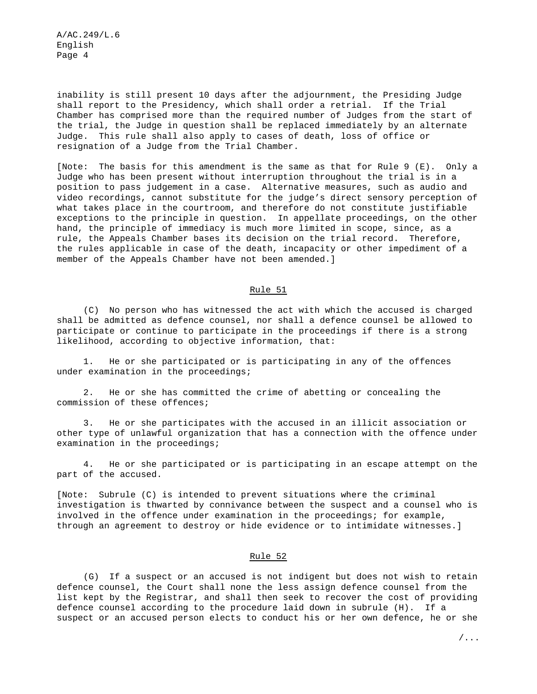inability is still present 10 days after the adjournment, the Presiding Judge shall report to the Presidency, which shall order a retrial. If the Trial Chamber has comprised more than the required number of Judges from the start of the trial, the Judge in question shall be replaced immediately by an alternate Judge. This rule shall also apply to cases of death, loss of office or resignation of a Judge from the Trial Chamber.

[Note: The basis for this amendment is the same as that for Rule 9 (E). Only a Judge who has been present without interruption throughout the trial is in a position to pass judgement in a case. Alternative measures, such as audio and video recordings, cannot substitute for the judge's direct sensory perception of what takes place in the courtroom, and therefore do not constitute justifiable exceptions to the principle in question. In appellate proceedings, on the other hand, the principle of immediacy is much more limited in scope, since, as a rule, the Appeals Chamber bases its decision on the trial record. Therefore, the rules applicable in case of the death, incapacity or other impediment of a member of the Appeals Chamber have not been amended.]

# Rule 51

(C) No person who has witnessed the act with which the accused is charged shall be admitted as defence counsel, nor shall a defence counsel be allowed to participate or continue to participate in the proceedings if there is a strong likelihood, according to objective information, that:

1. He or she participated or is participating in any of the offences under examination in the proceedings;

2. He or she has committed the crime of abetting or concealing the commission of these offences;

3. He or she participates with the accused in an illicit association or other type of unlawful organization that has a connection with the offence under examination in the proceedings;

4. He or she participated or is participating in an escape attempt on the part of the accused.

[Note: Subrule (C) is intended to prevent situations where the criminal investigation is thwarted by connivance between the suspect and a counsel who is involved in the offence under examination in the proceedings; for example, through an agreement to destroy or hide evidence or to intimidate witnesses.]

# Rule 52

(G) If a suspect or an accused is not indigent but does not wish to retain defence counsel, the Court shall none the less assign defence counsel from the list kept by the Registrar, and shall then seek to recover the cost of providing defence counsel according to the procedure laid down in subrule (H). If a suspect or an accused person elects to conduct his or her own defence, he or she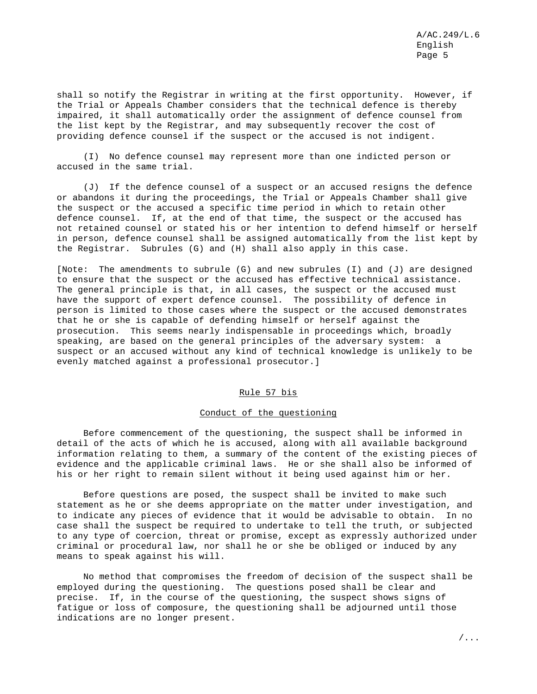shall so notify the Registrar in writing at the first opportunity. However, if the Trial or Appeals Chamber considers that the technical defence is thereby impaired, it shall automatically order the assignment of defence counsel from the list kept by the Registrar, and may subsequently recover the cost of providing defence counsel if the suspect or the accused is not indigent.

(I) No defence counsel may represent more than one indicted person or accused in the same trial.

(J) If the defence counsel of a suspect or an accused resigns the defence or abandons it during the proceedings, the Trial or Appeals Chamber shall give the suspect or the accused a specific time period in which to retain other defence counsel. If, at the end of that time, the suspect or the accused has not retained counsel or stated his or her intention to defend himself or herself in person, defence counsel shall be assigned automatically from the list kept by the Registrar. Subrules (G) and (H) shall also apply in this case.

[Note: The amendments to subrule (G) and new subrules (I) and (J) are designed to ensure that the suspect or the accused has effective technical assistance. The general principle is that, in all cases, the suspect or the accused must have the support of expert defence counsel. The possibility of defence in person is limited to those cases where the suspect or the accused demonstrates that he or she is capable of defending himself or herself against the prosecution. This seems nearly indispensable in proceedings which, broadly speaking, are based on the general principles of the adversary system: a suspect or an accused without any kind of technical knowledge is unlikely to be evenly matched against a professional prosecutor.]

# Rule 57 bis

## Conduct of the questioning

Before commencement of the questioning, the suspect shall be informed in detail of the acts of which he is accused, along with all available background information relating to them, a summary of the content of the existing pieces of evidence and the applicable criminal laws. He or she shall also be informed of his or her right to remain silent without it being used against him or her.

Before questions are posed, the suspect shall be invited to make such statement as he or she deems appropriate on the matter under investigation, and to indicate any pieces of evidence that it would be advisable to obtain. In no case shall the suspect be required to undertake to tell the truth, or subjected to any type of coercion, threat or promise, except as expressly authorized under criminal or procedural law, nor shall he or she be obliged or induced by any means to speak against his will.

No method that compromises the freedom of decision of the suspect shall be employed during the questioning. The questions posed shall be clear and precise. If, in the course of the questioning, the suspect shows signs of fatigue or loss of composure, the questioning shall be adjourned until those indications are no longer present.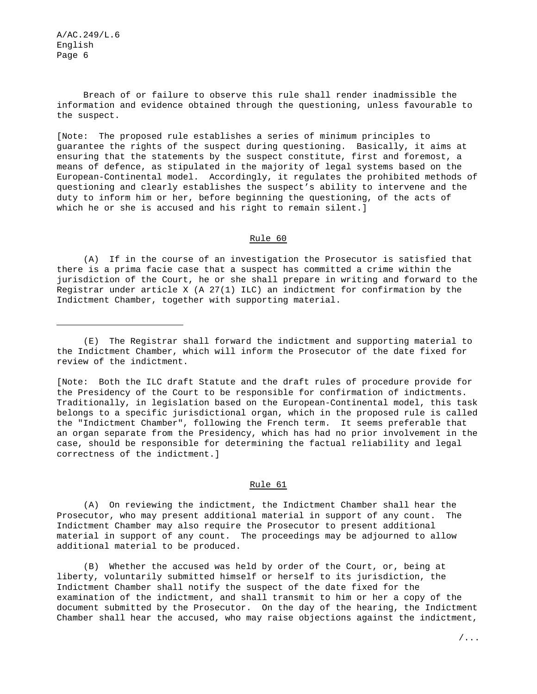Breach of or failure to observe this rule shall render inadmissible the information and evidence obtained through the questioning, unless favourable to the suspect.

[Note: The proposed rule establishes a series of minimum principles to guarantee the rights of the suspect during questioning. Basically, it aims at ensuring that the statements by the suspect constitute, first and foremost, a means of defence, as stipulated in the majority of legal systems based on the European-Continental model. Accordingly, it regulates the prohibited methods of questioning and clearly establishes the suspect's ability to intervene and the duty to inform him or her, before beginning the questioning, of the acts of which he or she is accused and his right to remain silent.]

### Rule 60

(A) If in the course of an investigation the Prosecutor is satisfied that there is a prima facie case that a suspect has committed a crime within the jurisdiction of the Court, he or she shall prepare in writing and forward to the Registrar under article X (A  $27(1)$  ILC) an indictment for confirmation by the Indictment Chamber, together with supporting material.

(E) The Registrar shall forward the indictment and supporting material to the Indictment Chamber, which will inform the Prosecutor of the date fixed for review of the indictment.

[Note: Both the ILC draft Statute and the draft rules of procedure provide for the Presidency of the Court to be responsible for confirmation of indictments. Traditionally, in legislation based on the European-Continental model, this task belongs to a specific jurisdictional organ, which in the proposed rule is called the "Indictment Chamber", following the French term. It seems preferable that an organ separate from the Presidency, which has had no prior involvement in the case, should be responsible for determining the factual reliability and legal correctness of the indictment.]

### Rule 61

(A) On reviewing the indictment, the Indictment Chamber shall hear the Prosecutor, who may present additional material in support of any count. The Indictment Chamber may also require the Prosecutor to present additional material in support of any count. The proceedings may be adjourned to allow additional material to be produced.

(B) Whether the accused was held by order of the Court, or, being at liberty, voluntarily submitted himself or herself to its jurisdiction, the Indictment Chamber shall notify the suspect of the date fixed for the examination of the indictment, and shall transmit to him or her a copy of the document submitted by the Prosecutor. On the day of the hearing, the Indictment Chamber shall hear the accused, who may raise objections against the indictment,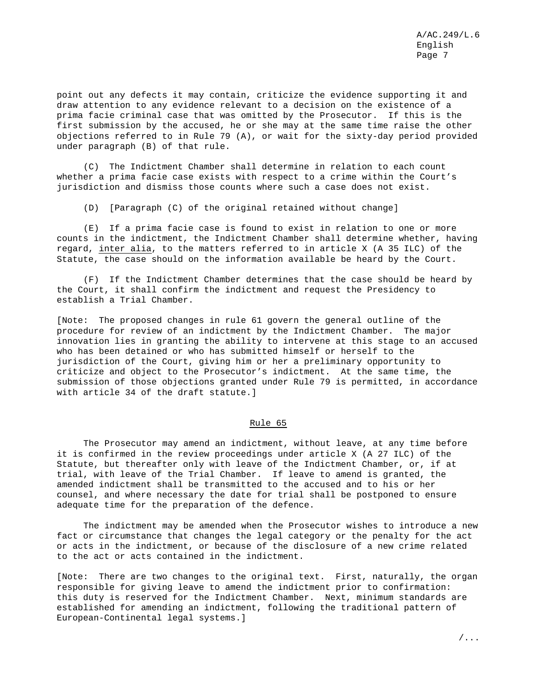point out any defects it may contain, criticize the evidence supporting it and draw attention to any evidence relevant to a decision on the existence of a prima facie criminal case that was omitted by the Prosecutor. If this is the first submission by the accused, he or she may at the same time raise the other objections referred to in Rule 79 (A), or wait for the sixty-day period provided under paragraph (B) of that rule.

(C) The Indictment Chamber shall determine in relation to each count whether a prima facie case exists with respect to a crime within the Court's jurisdiction and dismiss those counts where such a case does not exist.

(D) [Paragraph (C) of the original retained without change]

(E) If a prima facie case is found to exist in relation to one or more counts in the indictment, the Indictment Chamber shall determine whether, having regard, inter alia, to the matters referred to in article X (A 35 ILC) of the Statute, the case should on the information available be heard by the Court.

(F) If the Indictment Chamber determines that the case should be heard by the Court, it shall confirm the indictment and request the Presidency to establish a Trial Chamber.

[Note: The proposed changes in rule 61 govern the general outline of the procedure for review of an indictment by the Indictment Chamber. The major innovation lies in granting the ability to intervene at this stage to an accused who has been detained or who has submitted himself or herself to the jurisdiction of the Court, giving him or her a preliminary opportunity to criticize and object to the Prosecutor's indictment. At the same time, the submission of those objections granted under Rule 79 is permitted, in accordance with article 34 of the draft statute.]

### Rule 65

The Prosecutor may amend an indictment, without leave, at any time before it is confirmed in the review proceedings under article X (A 27 ILC) of the Statute, but thereafter only with leave of the Indictment Chamber, or, if at trial, with leave of the Trial Chamber. If leave to amend is granted, the amended indictment shall be transmitted to the accused and to his or her counsel, and where necessary the date for trial shall be postponed to ensure adequate time for the preparation of the defence.

The indictment may be amended when the Prosecutor wishes to introduce a new fact or circumstance that changes the legal category or the penalty for the act or acts in the indictment, or because of the disclosure of a new crime related to the act or acts contained in the indictment.

[Note: There are two changes to the original text. First, naturally, the organ responsible for giving leave to amend the indictment prior to confirmation: this duty is reserved for the Indictment Chamber. Next, minimum standards are established for amending an indictment, following the traditional pattern of European-Continental legal systems.]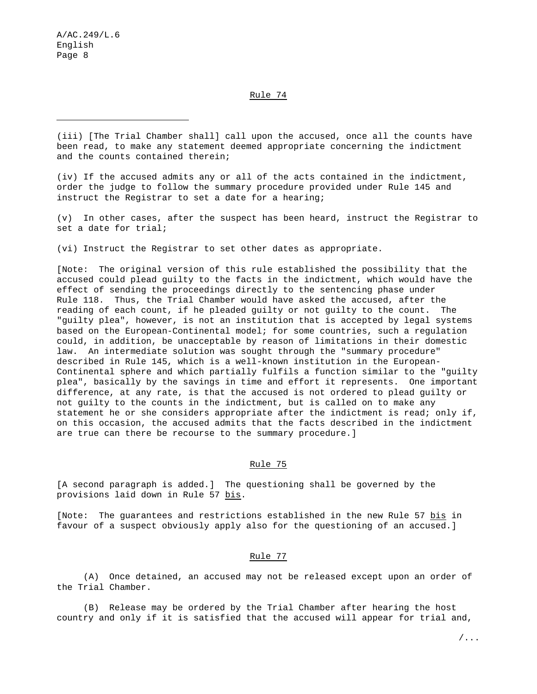Rule 74

(iii) [The Trial Chamber shall] call upon the accused, once all the counts have been read, to make any statement deemed appropriate concerning the indictment and the counts contained therein;

(iv) If the accused admits any or all of the acts contained in the indictment, order the judge to follow the summary procedure provided under Rule 145 and instruct the Registrar to set a date for a hearing;

(v) In other cases, after the suspect has been heard, instruct the Registrar to set a date for trial;

(vi) Instruct the Registrar to set other dates as appropriate.

[Note: The original version of this rule established the possibility that the accused could plead guilty to the facts in the indictment, which would have the effect of sending the proceedings directly to the sentencing phase under Rule 118. Thus, the Trial Chamber would have asked the accused, after the reading of each count, if he pleaded guilty or not guilty to the count. The "guilty plea", however, is not an institution that is accepted by legal systems based on the European-Continental model; for some countries, such a regulation could, in addition, be unacceptable by reason of limitations in their domestic law. An intermediate solution was sought through the "summary procedure" described in Rule 145, which is a well-known institution in the European-Continental sphere and which partially fulfils a function similar to the "guilty plea", basically by the savings in time and effort it represents. One important difference, at any rate, is that the accused is not ordered to plead guilty or not guilty to the counts in the indictment, but is called on to make any statement he or she considers appropriate after the indictment is read; only if, on this occasion, the accused admits that the facts described in the indictment are true can there be recourse to the summary procedure.]

# Rule 75

[A second paragraph is added.] The questioning shall be governed by the provisions laid down in Rule 57 bis.

[Note: The guarantees and restrictions established in the new Rule 57 bis in favour of a suspect obviously apply also for the questioning of an accused.]

# Rule 77

(A) Once detained, an accused may not be released except upon an order of the Trial Chamber.

(B) Release may be ordered by the Trial Chamber after hearing the host country and only if it is satisfied that the accused will appear for trial and,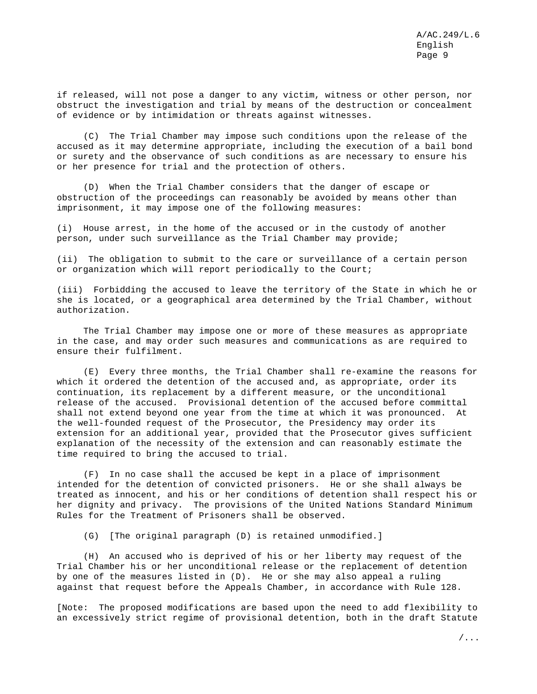if released, will not pose a danger to any victim, witness or other person, nor obstruct the investigation and trial by means of the destruction or concealment of evidence or by intimidation or threats against witnesses.

(C) The Trial Chamber may impose such conditions upon the release of the accused as it may determine appropriate, including the execution of a bail bond or surety and the observance of such conditions as are necessary to ensure his or her presence for trial and the protection of others.

(D) When the Trial Chamber considers that the danger of escape or obstruction of the proceedings can reasonably be avoided by means other than imprisonment, it may impose one of the following measures:

(i) House arrest, in the home of the accused or in the custody of another person, under such surveillance as the Trial Chamber may provide;

(ii) The obligation to submit to the care or surveillance of a certain person or organization which will report periodically to the Court;

(iii) Forbidding the accused to leave the territory of the State in which he or she is located, or a geographical area determined by the Trial Chamber, without authorization.

The Trial Chamber may impose one or more of these measures as appropriate in the case, and may order such measures and communications as are required to ensure their fulfilment.

(E) Every three months, the Trial Chamber shall re-examine the reasons for which it ordered the detention of the accused and, as appropriate, order its continuation, its replacement by a different measure, or the unconditional release of the accused. Provisional detention of the accused before committal shall not extend beyond one year from the time at which it was pronounced. At the well-founded request of the Prosecutor, the Presidency may order its extension for an additional year, provided that the Prosecutor gives sufficient explanation of the necessity of the extension and can reasonably estimate the time required to bring the accused to trial.

(F) In no case shall the accused be kept in a place of imprisonment intended for the detention of convicted prisoners. He or she shall always be treated as innocent, and his or her conditions of detention shall respect his or her dignity and privacy. The provisions of the United Nations Standard Minimum Rules for the Treatment of Prisoners shall be observed.

(G) [The original paragraph (D) is retained unmodified.]

(H) An accused who is deprived of his or her liberty may request of the Trial Chamber his or her unconditional release or the replacement of detention by one of the measures listed in (D). He or she may also appeal a ruling against that request before the Appeals Chamber, in accordance with Rule 128.

[Note: The proposed modifications are based upon the need to add flexibility to an excessively strict regime of provisional detention, both in the draft Statute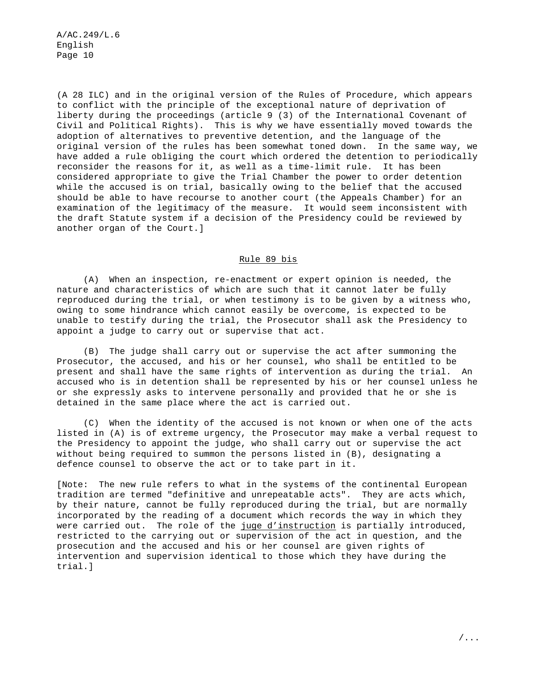(A 28 ILC) and in the original version of the Rules of Procedure, which appears to conflict with the principle of the exceptional nature of deprivation of liberty during the proceedings (article 9 (3) of the International Covenant of Civil and Political Rights). This is why we have essentially moved towards the adoption of alternatives to preventive detention, and the language of the original version of the rules has been somewhat toned down. In the same way, we have added a rule obliging the court which ordered the detention to periodically reconsider the reasons for it, as well as a time-limit rule. It has been considered appropriate to give the Trial Chamber the power to order detention while the accused is on trial, basically owing to the belief that the accused should be able to have recourse to another court (the Appeals Chamber) for an examination of the legitimacy of the measure. It would seem inconsistent with the draft Statute system if a decision of the Presidency could be reviewed by another organ of the Court.]

# Rule 89 bis

(A) When an inspection, re-enactment or expert opinion is needed, the nature and characteristics of which are such that it cannot later be fully reproduced during the trial, or when testimony is to be given by a witness who, owing to some hindrance which cannot easily be overcome, is expected to be unable to testify during the trial, the Prosecutor shall ask the Presidency to appoint a judge to carry out or supervise that act.

(B) The judge shall carry out or supervise the act after summoning the Prosecutor, the accused, and his or her counsel, who shall be entitled to be present and shall have the same rights of intervention as during the trial. An accused who is in detention shall be represented by his or her counsel unless he or she expressly asks to intervene personally and provided that he or she is detained in the same place where the act is carried out.

(C) When the identity of the accused is not known or when one of the acts listed in (A) is of extreme urgency, the Prosecutor may make a verbal request to the Presidency to appoint the judge, who shall carry out or supervise the act without being required to summon the persons listed in (B), designating a defence counsel to observe the act or to take part in it.

[Note: The new rule refers to what in the systems of the continental European tradition are termed "definitive and unrepeatable acts". They are acts which, by their nature, cannot be fully reproduced during the trial, but are normally incorporated by the reading of a document which records the way in which they were carried out. The role of the juge d'instruction is partially introduced, restricted to the carrying out or supervision of the act in question, and the prosecution and the accused and his or her counsel are given rights of intervention and supervision identical to those which they have during the trial.]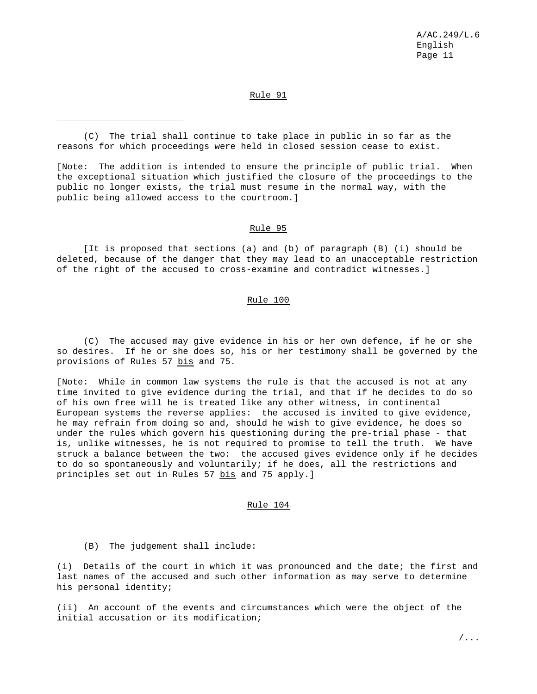# Rule 91

(C) The trial shall continue to take place in public in so far as the reasons for which proceedings were held in closed session cease to exist.

[Note: The addition is intended to ensure the principle of public trial. When the exceptional situation which justified the closure of the proceedings to the public no longer exists, the trial must resume in the normal way, with the public being allowed access to the courtroom.]

#### Rule 95

[It is proposed that sections (a) and (b) of paragraph (B) (i) should be deleted, because of the danger that they may lead to an unacceptable restriction of the right of the accused to cross-examine and contradict witnesses.]

## Rule 100

(C) The accused may give evidence in his or her own defence, if he or she so desires. If he or she does so, his or her testimony shall be governed by the provisions of Rules 57 bis and 75.

[Note: While in common law systems the rule is that the accused is not at any time invited to give evidence during the trial, and that if he decides to do so of his own free will he is treated like any other witness, in continental European systems the reverse applies: the accused is invited to give evidence, he may refrain from doing so and, should he wish to give evidence, he does so under the rules which govern his questioning during the pre-trial phase - that is, unlike witnesses, he is not required to promise to tell the truth. We have struck a balance between the two: the accused gives evidence only if he decides to do so spontaneously and voluntarily; if he does, all the restrictions and principles set out in Rules 57 bis and 75 apply.]

Rule 104

(B) The judgement shall include:

(i) Details of the court in which it was pronounced and the date; the first and last names of the accused and such other information as may serve to determine his personal identity;

(ii) An account of the events and circumstances which were the object of the initial accusation or its modification;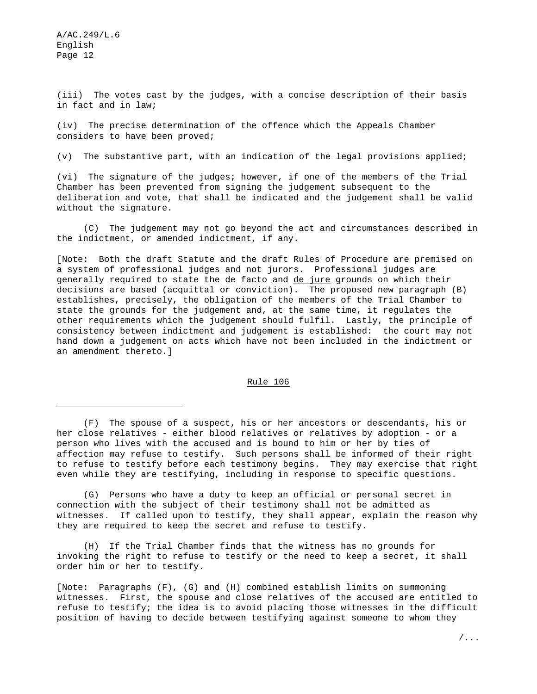(iii) The votes cast by the judges, with a concise description of their basis in fact and in law;

(iv) The precise determination of the offence which the Appeals Chamber considers to have been proved;

(v) The substantive part, with an indication of the legal provisions applied;

(vi) The signature of the judges; however, if one of the members of the Trial Chamber has been prevented from signing the judgement subsequent to the deliberation and vote, that shall be indicated and the judgement shall be valid without the signature.

(C) The judgement may not go beyond the act and circumstances described in the indictment, or amended indictment, if any.

[Note: Both the draft Statute and the draft Rules of Procedure are premised on a system of professional judges and not jurors. Professional judges are generally required to state the de facto and de jure grounds on which their decisions are based (acquittal or conviction). The proposed new paragraph (B) establishes, precisely, the obligation of the members of the Trial Chamber to state the grounds for the judgement and, at the same time, it regulates the other requirements which the judgement should fulfil. Lastly, the principle of consistency between indictment and judgement is established: the court may not hand down a judgement on acts which have not been included in the indictment or an amendment thereto.]

# Rule 106

(G) Persons who have a duty to keep an official or personal secret in connection with the subject of their testimony shall not be admitted as witnesses. If called upon to testify, they shall appear, explain the reason why they are required to keep the secret and refuse to testify.

(H) If the Trial Chamber finds that the witness has no grounds for invoking the right to refuse to testify or the need to keep a secret, it shall order him or her to testify.

[Note: Paragraphs (F), (G) and (H) combined establish limits on summoning witnesses. First, the spouse and close relatives of the accused are entitled to refuse to testify; the idea is to avoid placing those witnesses in the difficult position of having to decide between testifying against someone to whom they

<sup>(</sup>F) The spouse of a suspect, his or her ancestors or descendants, his or her close relatives - either blood relatives or relatives by adoption - or a person who lives with the accused and is bound to him or her by ties of affection may refuse to testify. Such persons shall be informed of their right to refuse to testify before each testimony begins. They may exercise that right even while they are testifying, including in response to specific questions.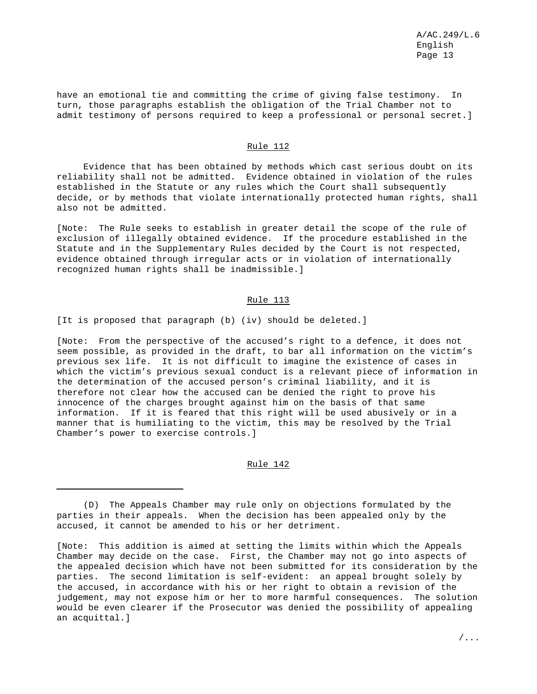have an emotional tie and committing the crime of giving false testimony. In turn, those paragraphs establish the obligation of the Trial Chamber not to admit testimony of persons required to keep a professional or personal secret.]

# Rule 112

Evidence that has been obtained by methods which cast serious doubt on its reliability shall not be admitted. Evidence obtained in violation of the rules established in the Statute or any rules which the Court shall subsequently decide, or by methods that violate internationally protected human rights, shall also not be admitted.

[Note: The Rule seeks to establish in greater detail the scope of the rule of exclusion of illegally obtained evidence. If the procedure established in the Statute and in the Supplementary Rules decided by the Court is not respected, evidence obtained through irregular acts or in violation of internationally recognized human rights shall be inadmissible.]

## Rule 113

[It is proposed that paragraph (b) (iv) should be deleted.]

[Note: From the perspective of the accused's right to a defence, it does not seem possible, as provided in the draft, to bar all information on the victim's previous sex life. It is not difficult to imagine the existence of cases in which the victim's previous sexual conduct is a relevant piece of information in the determination of the accused person's criminal liability, and it is therefore not clear how the accused can be denied the right to prove his innocence of the charges brought against him on the basis of that same information. If it is feared that this right will be used abusively or in a manner that is humiliating to the victim, this may be resolved by the Trial Chamber's power to exercise controls.]

## Rule 142

<sup>(</sup>D) The Appeals Chamber may rule only on objections formulated by the parties in their appeals. When the decision has been appealed only by the accused, it cannot be amended to his or her detriment.

<sup>[</sup>Note: This addition is aimed at setting the limits within which the Appeals Chamber may decide on the case. First, the Chamber may not go into aspects of the appealed decision which have not been submitted for its consideration by the parties. The second limitation is self-evident: an appeal brought solely by the accused, in accordance with his or her right to obtain a revision of the judgement, may not expose him or her to more harmful consequences. The solution would be even clearer if the Prosecutor was denied the possibility of appealing an acquittal.]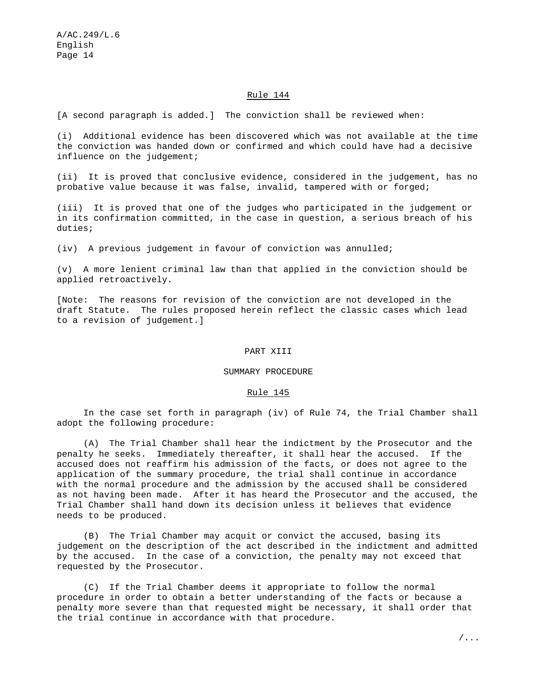# Rule 144

[A second paragraph is added.] The conviction shall be reviewed when:

(i) Additional evidence has been discovered which was not available at the time the conviction was handed down or confirmed and which could have had a decisive influence on the judgement;

(ii) It is proved that conclusive evidence, considered in the judgement, has no probative value because it was false, invalid, tampered with or forged;

(iii) It is proved that one of the judges who participated in the judgement or in its confirmation committed, in the case in question, a serious breach of his duties;

(iv) A previous judgement in favour of conviction was annulled;

(v) A more lenient criminal law than that applied in the conviction should be applied retroactively.

[Note: The reasons for revision of the conviction are not developed in the draft Statute. The rules proposed herein reflect the classic cases which lead to a revision of judgement.]

#### PART XIII

#### SUMMARY PROCEDURE

#### Rule 145

In the case set forth in paragraph (iv) of Rule 74, the Trial Chamber shall adopt the following procedure:

(A) The Trial Chamber shall hear the indictment by the Prosecutor and the penalty he seeks. Immediately thereafter, it shall hear the accused. If the accused does not reaffirm his admission of the facts, or does not agree to the application of the summary procedure, the trial shall continue in accordance with the normal procedure and the admission by the accused shall be considered as not having been made. After it has heard the Prosecutor and the accused, the Trial Chamber shall hand down its decision unless it believes that evidence needs to be produced.

(B) The Trial Chamber may acquit or convict the accused, basing its judgement on the description of the act described in the indictment and admitted by the accused. In the case of a conviction, the penalty may not exceed that requested by the Prosecutor.

(C) If the Trial Chamber deems it appropriate to follow the normal procedure in order to obtain a better understanding of the facts or because a penalty more severe than that requested might be necessary, it shall order that the trial continue in accordance with that procedure.